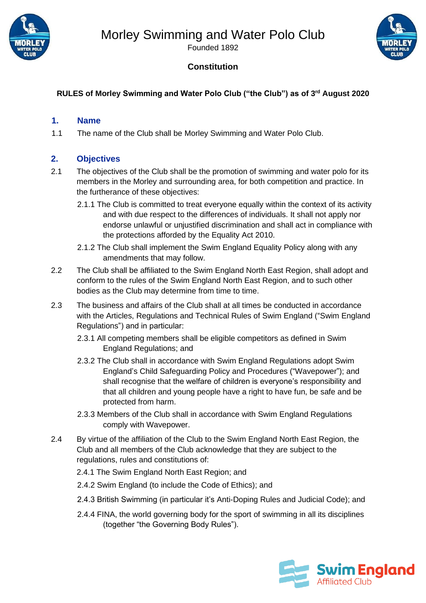



Founded 1892

#### **Constitution**

#### **RULES of Morley Swimming and Water Polo Club ("the Club") as of 3 rd August 2020**

#### **1. Name**

1.1 The name of the Club shall be Morley Swimming and Water Polo Club.

#### **2. Objectives**

- 2.1 The objectives of the Club shall be the promotion of swimming and water polo for its members in the Morley and surrounding area, for both competition and practice. In the furtherance of these objectives:
	- 2.1.1 The Club is committed to treat everyone equally within the context of its activity and with due respect to the differences of individuals. It shall not apply nor endorse unlawful or unjustified discrimination and shall act in compliance with the protections afforded by the Equality Act 2010.
	- 2.1.2 The Club shall implement the Swim England Equality Policy along with any amendments that may follow.
- 2.2 The Club shall be affiliated to the Swim England North East Region, shall adopt and conform to the rules of the Swim England North East Region, and to such other bodies as the Club may determine from time to time.
- 2.3 The business and affairs of the Club shall at all times be conducted in accordance with the Articles, Regulations and Technical Rules of Swim England ("Swim England Regulations") and in particular:
	- 2.3.1 All competing members shall be eligible competitors as defined in Swim England Regulations; and
	- 2.3.2 The Club shall in accordance with Swim England Regulations adopt Swim England's Child Safeguarding Policy and Procedures ("Wavepower"); and shall recognise that the welfare of children is everyone's responsibility and that all children and young people have a right to have fun, be safe and be protected from harm.
	- 2.3.3 Members of the Club shall in accordance with Swim England Regulations comply with Wavepower.
- 2.4 By virtue of the affiliation of the Club to the Swim England North East Region, the Club and all members of the Club acknowledge that they are subject to the regulations, rules and constitutions of:
	- 2.4.1 The Swim England North East Region; and
	- 2.4.2 Swim England (to include the Code of Ethics); and
	- 2.4.3 British Swimming (in particular it's Anti-Doping Rules and Judicial Code); and
	- 2.4.4 FINA, the world governing body for the sport of swimming in all its disciplines (together "the Governing Body Rules").

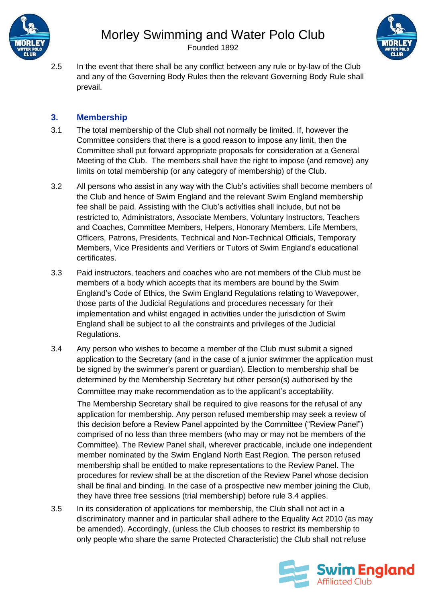

Founded 1892



2.5 In the event that there shall be any conflict between any rule or by-law of the Club and any of the Governing Body Rules then the relevant Governing Body Rule shall prevail.

#### **3. Membership**

- 3.1 The total membership of the Club shall not normally be limited. If, however the Committee considers that there is a good reason to impose any limit, then the Committee shall put forward appropriate proposals for consideration at a General Meeting of the Club. The members shall have the right to impose (and remove) any limits on total membership (or any category of membership) of the Club.
- 3.2 All persons who assist in any way with the Club's activities shall become members of the Club and hence of Swim England and the relevant Swim England membership fee shall be paid. Assisting with the Club's activities shall include, but not be restricted to, Administrators, Associate Members, Voluntary Instructors, Teachers and Coaches, Committee Members, Helpers, Honorary Members, Life Members, Officers, Patrons, Presidents, Technical and Non-Technical Officials, Temporary Members, Vice Presidents and Verifiers or Tutors of Swim England's educational certificates.
- 3.3 Paid instructors, teachers and coaches who are not members of the Club must be members of a body which accepts that its members are bound by the Swim England's Code of Ethics, the Swim England Regulations relating to Wavepower, those parts of the Judicial Regulations and procedures necessary for their implementation and whilst engaged in activities under the jurisdiction of Swim England shall be subject to all the constraints and privileges of the Judicial Regulations.
- 3.4 Any person who wishes to become a member of the Club must submit a signed application to the Secretary (and in the case of a junior swimmer the application must be signed by the swimmer's parent or guardian). Election to membership shall be determined by the Membership Secretary but other person(s) authorised by the Committee may make recommendation as to the applicant's acceptability.

The Membership Secretary shall be required to give reasons for the refusal of any application for membership. Any person refused membership may seek a review of this decision before a Review Panel appointed by the Committee ("Review Panel") comprised of no less than three members (who may or may not be members of the Committee). The Review Panel shall, wherever practicable, include one independent member nominated by the Swim England North East Region. The person refused membership shall be entitled to make representations to the Review Panel. The procedures for review shall be at the discretion of the Review Panel whose decision shall be final and binding. In the case of a prospective new member joining the Club, they have three free sessions (trial membership) before rule 3.4 applies.

3.5 In its consideration of applications for membership, the Club shall not act in a discriminatory manner and in particular shall adhere to the Equality Act 2010 (as may be amended). Accordingly, (unless the Club chooses to restrict its membership to only people who share the same Protected Characteristic) the Club shall not refuse

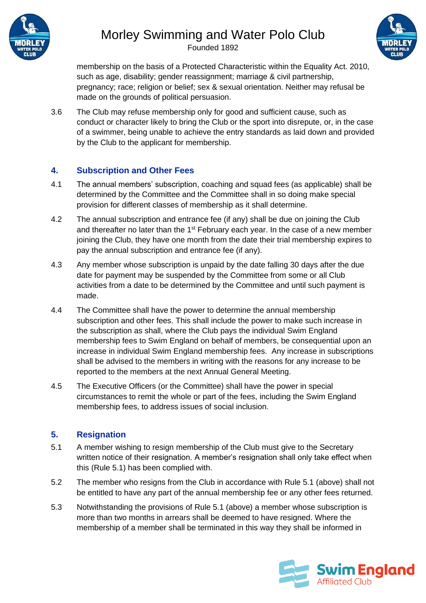

Founded 1892



membership on the basis of a Protected Characteristic within the Equality Act. 2010, such as age, disability; gender reassignment; marriage & civil partnership, pregnancy; race; religion or belief; sex & sexual orientation. Neither may refusal be made on the grounds of political persuasion.

3.6 The Club may refuse membership only for good and sufficient cause, such as conduct or character likely to bring the Club or the sport into disrepute, or, in the case of a swimmer, being unable to achieve the entry standards as laid down and provided by the Club to the applicant for membership.

#### **4. Subscription and Other Fees**

- 4.1 The annual members' subscription, coaching and squad fees (as applicable) shall be determined by the Committee and the Committee shall in so doing make special provision for different classes of membership as it shall determine.
- 4.2 The annual subscription and entrance fee (if any) shall be due on joining the Club and thereafter no later than the  $1<sup>st</sup>$  February each year. In the case of a new member joining the Club, they have one month from the date their trial membership expires to pay the annual subscription and entrance fee (if any).
- 4.3 Any member whose subscription is unpaid by the date falling 30 days after the due date for payment may be suspended by the Committee from some or all Club activities from a date to be determined by the Committee and until such payment is made.
- 4.4 The Committee shall have the power to determine the annual membership subscription and other fees. This shall include the power to make such increase in the subscription as shall, where the Club pays the individual Swim England membership fees to Swim England on behalf of members, be consequential upon an increase in individual Swim England membership fees. Any increase in subscriptions shall be advised to the members in writing with the reasons for any increase to be reported to the members at the next Annual General Meeting.
- 4.5 The Executive Officers (or the Committee) shall have the power in special circumstances to remit the whole or part of the fees, including the Swim England membership fees, to address issues of social inclusion.

#### **5. Resignation**

- 5.1 A member wishing to resign membership of the Club must give to the Secretary written notice of their resignation. A member's resignation shall only take effect when this (Rule 5.1) has been complied with.
- 5.2 The member who resigns from the Club in accordance with Rule 5.1 (above) shall not be entitled to have any part of the annual membership fee or any other fees returned.
- 5.3 Notwithstanding the provisions of Rule 5.1 (above) a member whose subscription is more than two months in arrears shall be deemed to have resigned. Where the membership of a member shall be terminated in this way they shall be informed in

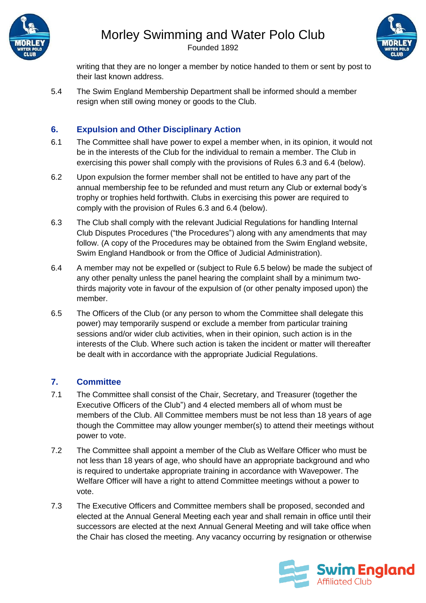

Founded 1892



writing that they are no longer a member by notice handed to them or sent by post to their last known address.

5.4 The Swim England Membership Department shall be informed should a member resign when still owing money or goods to the Club.

#### **6. Expulsion and Other Disciplinary Action**

- 6.1 The Committee shall have power to expel a member when, in its opinion, it would not be in the interests of the Club for the individual to remain a member. The Club in exercising this power shall comply with the provisions of Rules 6.3 and 6.4 (below).
- 6.2 Upon expulsion the former member shall not be entitled to have any part of the annual membership fee to be refunded and must return any Club or external body's trophy or trophies held forthwith. Clubs in exercising this power are required to comply with the provision of Rules 6.3 and 6.4 (below).
- 6.3 The Club shall comply with the relevant Judicial Regulations for handling Internal Club Disputes Procedures ("the Procedures") along with any amendments that may follow. (A copy of the Procedures may be obtained from the Swim England website, Swim England Handbook or from the Office of Judicial Administration).
- 6.4 A member may not be expelled or (subject to Rule 6.5 below) be made the subject of any other penalty unless the panel hearing the complaint shall by a minimum twothirds majority vote in favour of the expulsion of (or other penalty imposed upon) the member.
- 6.5 The Officers of the Club (or any person to whom the Committee shall delegate this power) may temporarily suspend or exclude a member from particular training sessions and/or wider club activities, when in their opinion, such action is in the interests of the Club. Where such action is taken the incident or matter will thereafter be dealt with in accordance with the appropriate Judicial Regulations.

#### **7. Committee**

- 7.1 The Committee shall consist of the Chair, Secretary, and Treasurer (together the Executive Officers of the Club") and 4 elected members all of whom must be members of the Club. All Committee members must be not less than 18 years of age though the Committee may allow younger member(s) to attend their meetings without power to vote.
- 7.2 The Committee shall appoint a member of the Club as Welfare Officer who must be not less than 18 years of age, who should have an appropriate background and who is required to undertake appropriate training in accordance with Wavepower. The Welfare Officer will have a right to attend Committee meetings without a power to vote.
- 7.3 The Executive Officers and Committee members shall be proposed, seconded and elected at the Annual General Meeting each year and shall remain in office until their successors are elected at the next Annual General Meeting and will take office when the Chair has closed the meeting. Any vacancy occurring by resignation or otherwise

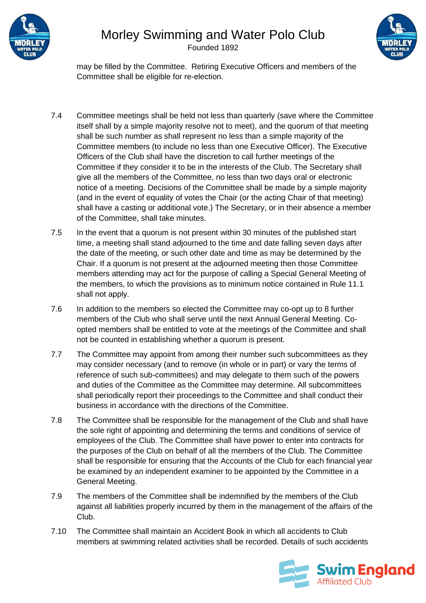

Founded 1892



may be filled by the Committee. Retiring Executive Officers and members of the Committee shall be eligible for re-election.

- 7.4 Committee meetings shall be held not less than quarterly (save where the Committee itself shall by a simple majority resolve not to meet), and the quorum of that meeting shall be such number as shall represent no less than a simple majority of the Committee members (to include no less than one Executive Officer). The Executive Officers of the Club shall have the discretion to call further meetings of the Committee if they consider it to be in the interests of the Club. The Secretary shall give all the members of the Committee, no less than two days oral or electronic notice of a meeting. Decisions of the Committee shall be made by a simple majority (and in the event of equality of votes the Chair (or the acting Chair of that meeting) shall have a casting or additional vote.) The Secretary, or in their absence a member of the Committee, shall take minutes.
- 7.5 In the event that a quorum is not present within 30 minutes of the published start time, a meeting shall stand adjourned to the time and date falling seven days after the date of the meeting, or such other date and time as may be determined by the Chair. If a quorum is not present at the adjourned meeting then those Committee members attending may act for the purpose of calling a Special General Meeting of the members, to which the provisions as to minimum notice contained in Rule 11.1 shall not apply.
- 7.6 In addition to the members so elected the Committee may co-opt up to 8 further members of the Club who shall serve until the next Annual General Meeting. Coopted members shall be entitled to vote at the meetings of the Committee and shall not be counted in establishing whether a quorum is present.
- 7.7 The Committee may appoint from among their number such subcommittees as they may consider necessary (and to remove (in whole or in part) or vary the terms of reference of such sub-committees) and may delegate to them such of the powers and duties of the Committee as the Committee may determine. All subcommittees shall periodically report their proceedings to the Committee and shall conduct their business in accordance with the directions of the Committee.
- 7.8 The Committee shall be responsible for the management of the Club and shall have the sole right of appointing and determining the terms and conditions of service of employees of the Club. The Committee shall have power to enter into contracts for the purposes of the Club on behalf of all the members of the Club. The Committee shall be responsible for ensuring that the Accounts of the Club for each financial year be examined by an independent examiner to be appointed by the Committee in a General Meeting.
- 7.9 The members of the Committee shall be indemnified by the members of the Club against all liabilities properly incurred by them in the management of the affairs of the Club.
- 7.10 The Committee shall maintain an Accident Book in which all accidents to Club members at swimming related activities shall be recorded. Details of such accidents

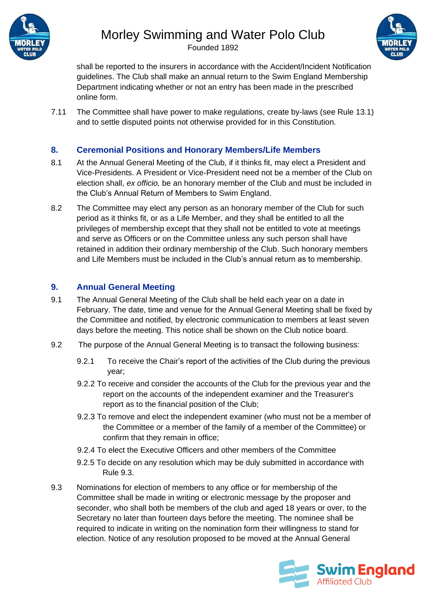

Founded 1892



shall be reported to the insurers in accordance with the Accident/Incident Notification guidelines. The Club shall make an annual return to the Swim England Membership Department indicating whether or not an entry has been made in the prescribed online form.

7.11 The Committee shall have power to make regulations, create by-laws (see Rule 13.1) and to settle disputed points not otherwise provided for in this Constitution.

#### **8. Ceremonial Positions and Honorary Members/Life Members**

- 8.1 At the Annual General Meeting of the Club, if it thinks fit, may elect a President and Vice-Presidents. A President or Vice-President need not be a member of the Club on election shall, *ex officio,* be an honorary member of the Club and must be included in the Club's Annual Return of Members to Swim England.
- 8.2 The Committee may elect any person as an honorary member of the Club for such period as it thinks fit, or as a Life Member, and they shall be entitled to all the privileges of membership except that they shall not be entitled to vote at meetings and serve as Officers or on the Committee unless any such person shall have retained in addition their ordinary membership of the Club. Such honorary members and Life Members must be included in the Club's annual return as to membership.

#### **9. Annual General Meeting**

- 9.1 The Annual General Meeting of the Club shall be held each year on a date in February. The date, time and venue for the Annual General Meeting shall be fixed by the Committee and notified, by electronic communication to members at least seven days before the meeting. This notice shall be shown on the Club notice board.
- 9.2 The purpose of the Annual General Meeting is to transact the following business:
	- 9.2.1 To receive the Chair's report of the activities of the Club during the previous year;
	- 9.2.2 To receive and consider the accounts of the Club for the previous year and the report on the accounts of the independent examiner and the Treasurer's report as to the financial position of the Club;
	- 9.2.3 To remove and elect the independent examiner (who must not be a member of the Committee or a member of the family of a member of the Committee) or confirm that they remain in office;
	- 9.2.4 To elect the Executive Officers and other members of the Committee
	- 9.2.5 To decide on any resolution which may be duly submitted in accordance with Rule 9.3.
- 9.3 Nominations for election of members to any office or for membership of the Committee shall be made in writing or electronic message by the proposer and seconder, who shall both be members of the club and aged 18 years or over, to the Secretary no later than fourteen days before the meeting. The nominee shall be required to indicate in writing on the nomination form their willingness to stand for election. Notice of any resolution proposed to be moved at the Annual General

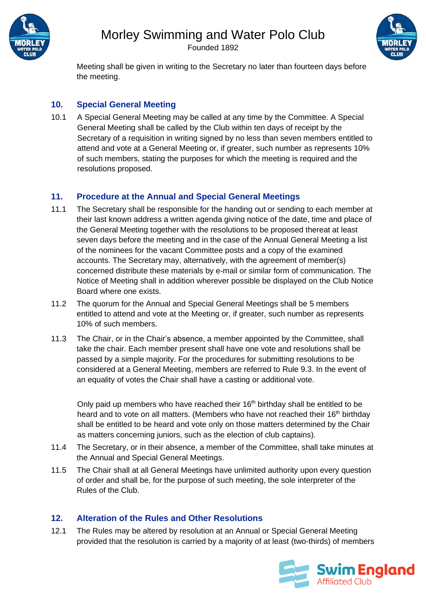

Founded 1892



Meeting shall be given in writing to the Secretary no later than fourteen days before the meeting.

#### **10. Special General Meeting**

10.1 A Special General Meeting may be called at any time by the Committee. A Special General Meeting shall be called by the Club within ten days of receipt by the Secretary of a requisition in writing signed by no less than seven members entitled to attend and vote at a General Meeting or, if greater, such number as represents 10% of such members, stating the purposes for which the meeting is required and the resolutions proposed.

#### **11. Procedure at the Annual and Special General Meetings**

- 11.1 The Secretary shall be responsible for the handing out or sending to each member at their last known address a written agenda giving notice of the date, time and place of the General Meeting together with the resolutions to be proposed thereat at least seven days before the meeting and in the case of the Annual General Meeting a list of the nominees for the vacant Committee posts and a copy of the examined accounts. The Secretary may, alternatively, with the agreement of member(s) concerned distribute these materials by e-mail or similar form of communication. The Notice of Meeting shall in addition wherever possible be displayed on the Club Notice Board where one exists.
- 11.2 The quorum for the Annual and Special General Meetings shall be 5 members entitled to attend and vote at the Meeting or, if greater, such number as represents 10% of such members.
- 11.3 The Chair, or in the Chair's absence, a member appointed by the Committee, shall take the chair. Each member present shall have one vote and resolutions shall be passed by a simple majority. For the procedures for submitting resolutions to be considered at a General Meeting, members are referred to Rule 9.3. In the event of an equality of votes the Chair shall have a casting or additional vote.

Only paid up members who have reached their  $16<sup>th</sup>$  birthday shall be entitled to be heard and to vote on all matters. (Members who have not reached their 16<sup>th</sup> birthday shall be entitled to be heard and vote only on those matters determined by the Chair as matters concerning juniors, such as the election of club captains).

- 11.4 The Secretary, or in their absence, a member of the Committee, shall take minutes at the Annual and Special General Meetings.
- 11.5 The Chair shall at all General Meetings have unlimited authority upon every question of order and shall be, for the purpose of such meeting, the sole interpreter of the Rules of the Club.

#### **12. Alteration of the Rules and Other Resolutions**

12.1 The Rules may be altered by resolution at an Annual or Special General Meeting provided that the resolution is carried by a majority of at least (two-thirds) of members

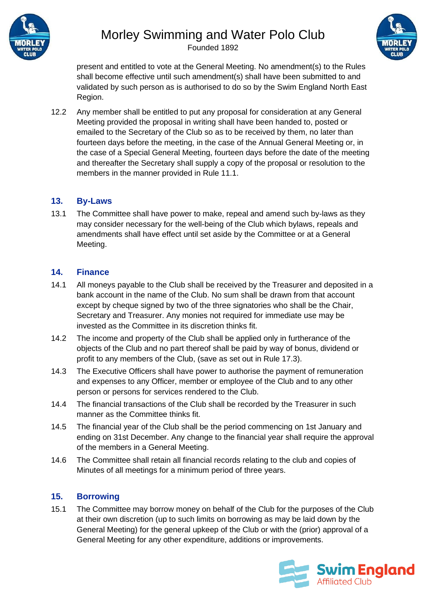

Founded 1892



present and entitled to vote at the General Meeting. No amendment(s) to the Rules shall become effective until such amendment(s) shall have been submitted to and validated by such person as is authorised to do so by the Swim England North East Region.

12.2 Any member shall be entitled to put any proposal for consideration at any General Meeting provided the proposal in writing shall have been handed to, posted or emailed to the Secretary of the Club so as to be received by them, no later than fourteen days before the meeting, in the case of the Annual General Meeting or, in the case of a Special General Meeting, fourteen days before the date of the meeting and thereafter the Secretary shall supply a copy of the proposal or resolution to the members in the manner provided in Rule 11.1.

#### **13. By-Laws**

13.1 The Committee shall have power to make, repeal and amend such by-laws as they may consider necessary for the well-being of the Club which bylaws, repeals and amendments shall have effect until set aside by the Committee or at a General Meeting.

#### **14. Finance**

- 14.1 All moneys payable to the Club shall be received by the Treasurer and deposited in a bank account in the name of the Club. No sum shall be drawn from that account except by cheque signed by two of the three signatories who shall be the Chair, Secretary and Treasurer. Any monies not required for immediate use may be invested as the Committee in its discretion thinks fit.
- 14.2 The income and property of the Club shall be applied only in furtherance of the objects of the Club and no part thereof shall be paid by way of bonus, dividend or profit to any members of the Club, (save as set out in Rule 17.3).
- 14.3 The Executive Officers shall have power to authorise the payment of remuneration and expenses to any Officer, member or employee of the Club and to any other person or persons for services rendered to the Club.
- 14.4 The financial transactions of the Club shall be recorded by the Treasurer in such manner as the Committee thinks fit.
- 14.5 The financial year of the Club shall be the period commencing on 1st January and ending on 31st December. Any change to the financial year shall require the approval of the members in a General Meeting.
- 14.6 The Committee shall retain all financial records relating to the club and copies of Minutes of all meetings for a minimum period of three years.

#### **15. Borrowing**

15.1 The Committee may borrow money on behalf of the Club for the purposes of the Club at their own discretion (up to such limits on borrowing as may be laid down by the General Meeting) for the general upkeep of the Club or with the (prior) approval of a General Meeting for any other expenditure, additions or improvements.

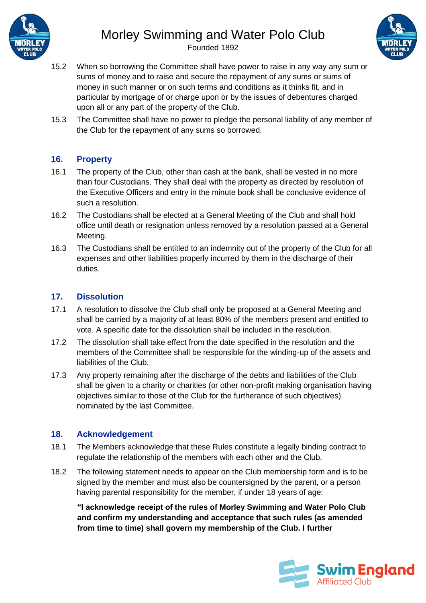

Founded 1892



- 15.2 When so borrowing the Committee shall have power to raise in any way any sum or sums of money and to raise and secure the repayment of any sums or sums of money in such manner or on such terms and conditions as it thinks fit, and in particular by mortgage of or charge upon or by the issues of debentures charged upon all or any part of the property of the Club.
- 15.3 The Committee shall have no power to pledge the personal liability of any member of the Club for the repayment of any sums so borrowed.

#### **16. Property**

- 16.1 The property of the Club, other than cash at the bank, shall be vested in no more than four Custodians. They shall deal with the property as directed by resolution of the Executive Officers and entry in the minute book shall be conclusive evidence of such a resolution.
- 16.2 The Custodians shall be elected at a General Meeting of the Club and shall hold office until death or resignation unless removed by a resolution passed at a General Meeting.
- 16.3 The Custodians shall be entitled to an indemnity out of the property of the Club for all expenses and other liabilities properly incurred by them in the discharge of their duties.

#### **17. Dissolution**

- 17.1 A resolution to dissolve the Club shall only be proposed at a General Meeting and shall be carried by a majority of at least 80% of the members present and entitled to vote. A specific date for the dissolution shall be included in the resolution.
- 17.2 The dissolution shall take effect from the date specified in the resolution and the members of the Committee shall be responsible for the winding-up of the assets and liabilities of the Club.
- 17.3 Any property remaining after the discharge of the debts and liabilities of the Club shall be given to a charity or charities (or other non-profit making organisation having objectives similar to those of the Club for the furtherance of such objectives) nominated by the last Committee.

#### **18. Acknowledgement**

- 18.1 The Members acknowledge that these Rules constitute a legally binding contract to regulate the relationship of the members with each other and the Club.
- 18.2 The following statement needs to appear on the Club membership form and is to be signed by the member and must also be countersigned by the parent, or a person having parental responsibility for the member, if under 18 years of age:

**"I acknowledge receipt of the rules of Morley Swimming and Water Polo Club and confirm my understanding and acceptance that such rules (as amended from time to time) shall govern my membership of the Club. I further**